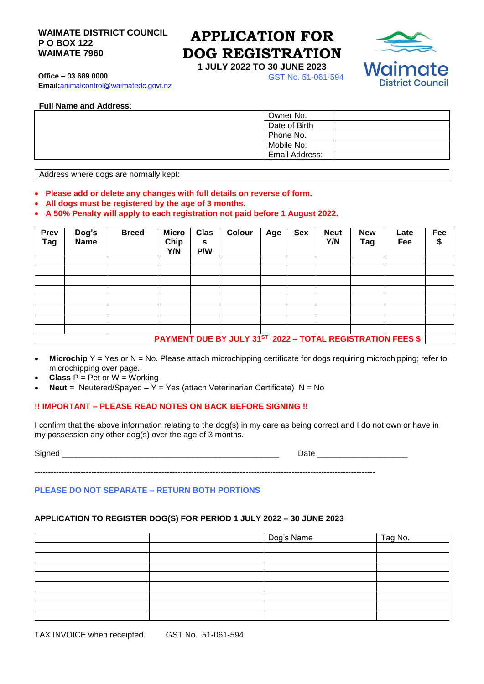## **WAIMATE DISTRICT COUNCIL APPLICATION FOR P O BOX 122 WAIMATE 7960**

**Office – 03 689 0000** GST No. 51-061-594

**Email:**[animalcontrol@waimatedc.govt.nz](mailto:animalcontrol@waimatedc.govt.nz)

# **DOG REGISTRATION**

**1 JULY 2022 TO 30 JUNE 2023**



**Full Name and Address**:

| Owner No.      |
|----------------|
| Date of Birth  |
| Phone No.      |
| Mobile No.     |
| Email Address: |

Address where dogs are normally kept:

- **Please add or delete any changes with full details on reverse of form.**
- **All dogs must be registered by the age of 3 months.**
- **A 50% Penalty will apply to each registration not paid before 1 August 2022.**

| Prev<br><b>Tag</b>                                         | Dog's<br><b>Name</b> | <b>Breed</b> | <b>Micro</b><br>Chip<br>Y/N | <b>Clas</b><br>S<br>P/W | Colour | Age | <b>Sex</b> | <b>Neut</b><br>Y/N | <b>New</b><br>Tag | Late<br>Fee | Fee<br>\$ |
|------------------------------------------------------------|----------------------|--------------|-----------------------------|-------------------------|--------|-----|------------|--------------------|-------------------|-------------|-----------|
|                                                            |                      |              |                             |                         |        |     |            |                    |                   |             |           |
|                                                            |                      |              |                             |                         |        |     |            |                    |                   |             |           |
|                                                            |                      |              |                             |                         |        |     |            |                    |                   |             |           |
|                                                            |                      |              |                             |                         |        |     |            |                    |                   |             |           |
|                                                            |                      |              |                             |                         |        |     |            |                    |                   |             |           |
|                                                            |                      |              |                             |                         |        |     |            |                    |                   |             |           |
|                                                            |                      |              |                             |                         |        |     |            |                    |                   |             |           |
|                                                            |                      |              |                             |                         |        |     |            |                    |                   |             |           |
| PAYMENT DUE BY JULY 31ST 2022 - TOTAL REGISTRATION FEES \$ |                      |              |                             |                         |        |     |            |                    |                   |             |           |

- **Microchip** Y = Yes or N = No. Please attach microchipping certificate for dogs requiring microchipping; refer to microchipping over page.
- **Class** P = Pet or W = Working
- **Neut =** Neutered/Spayed Y = Yes (attach Veterinarian Certificate) N = No

# **!! IMPORTANT – PLEASE READ NOTES ON BACK BEFORE SIGNING !!**

I confirm that the above information relating to the dog(s) in my care as being correct and I do not own or have in my possession any other dog(s) over the age of 3 months.

| <b>.</b><br>510 |          |
|-----------------|----------|
|                 | -<br>--- |

------------------------------------------------------------------------------------------------------------------------------

# **PLEASE DO NOT SEPARATE – RETURN BOTH PORTIONS**

## **APPLICATION TO REGISTER DOG(S) FOR PERIOD 1 JULY 2022 – 30 JUNE 2023**

|  | Dog's Name | Tag No. |  |  |
|--|------------|---------|--|--|
|  |            |         |  |  |
|  |            |         |  |  |
|  |            |         |  |  |
|  |            |         |  |  |
|  |            |         |  |  |
|  |            |         |  |  |
|  |            |         |  |  |
|  |            |         |  |  |